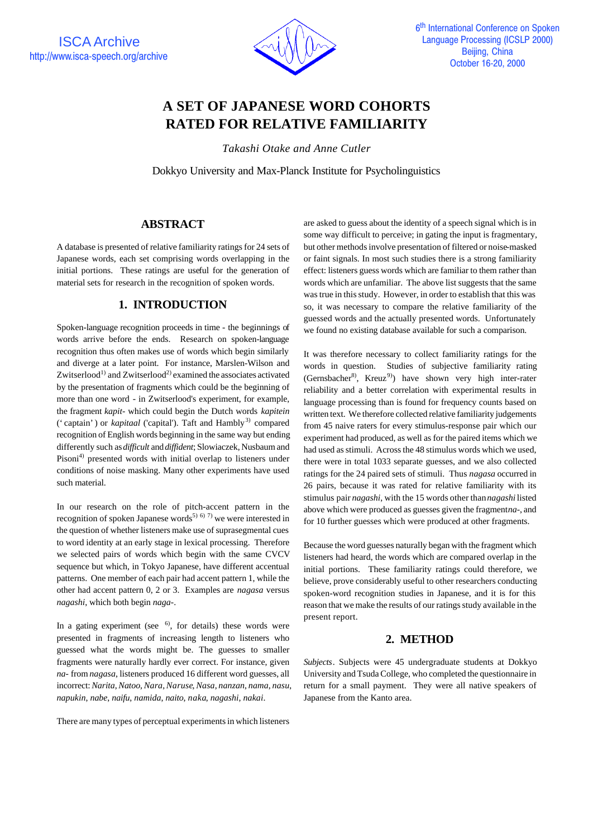

# **A SET OF JAPANESE WORD COHORTS RATED FOR RELATIVE FAMILIARITY**

*Takashi Otake and Anne Cutler*

Dokkyo University and Max-Planck Institute for Psycholinguistics

# **ABSTRACT**

A database is presented of relative familiarity ratings for 24 sets of Japanese words, each set comprising words overlapping in the initial portions. These ratings are useful for the generation of material sets for research in the recognition of spoken words.

## **1. INTRODUCTION**

Spoken-language recognition proceeds in time - the beginnings of words arrive before the ends. Research on spoken-language recognition thus often makes use of words which begin similarly and diverge at a later point. For instance, Marslen-Wilson and Zwitserlood<sup>1)</sup> and Zwitserlood<sup>2)</sup> examined the associates activated by the presentation of fragments which could be the beginning of more than one word - in Zwitserlood's experiment, for example, the fragment *kapit*- which could begin the Dutch words *kapitein* ('captain') or *kapitaal* ('capital'). Taft and Hambly<sup>3)</sup> compared recognition of English words beginning in the same way but ending differently such as *difficult* and *diffident*; Slowiaczek, Nusbaum and Pisoni<sup>4)</sup> presented words with initial overlap to listeners under conditions of noise masking. Many other experiments have used such material.

In our research on the role of pitch-accent pattern in the recognition of spoken Japanese words<sup>5) 6) 7)</sup> we were interested in the question of whether listeners make use of suprasegmental cues to word identity at an early stage in lexical processing. Therefore we selected pairs of words which begin with the same CVCV sequence but which, in Tokyo Japanese, have different accentual patterns. One member of each pair had accent pattern 1, while the other had accent pattern 0, 2 or 3. Examples are *nagasa* versus *nagashi*, which both begin *naga*-.

In a gating experiment (see  $\binom{6}{1}$ , for details) these words were presented in fragments of increasing length to listeners who guessed what the words might be. The guesses to smaller fragments were naturally hardly ever correct. For instance, given *na*- from *nagasa*, listeners produced 16 different word guesses, all incorrect: *Narita*, *Natoo*, *Nara*, *Naruse*, *Nasa*, *nanzan*, *nama*, *nasu*, *napukin*, *nabe*, *naifu*, *namida*, *naito*, *naka*, *nagashi*, *nakai*.

There are many types of perceptual experiments in which listeners

are asked to guess about the identity of a speech signal which is in some way difficult to perceive; in gating the input is fragmentary, but other methods involve presentation of filtered or noise-masked or faint signals. In most such studies there is a strong familiarity effect: listeners guess words which are familiar to them rather than words which are unfamiliar. The above list suggests that the same was true in this study. However, in order to establish that this was so, it was necessary to compare the relative familiarity of the guessed words and the actually presented words. Unfortunately we found no existing database available for such a comparison.

It was therefore necessary to collect familiarity ratings for the words in question. Studies of subjective familiarity rating (Gernsbacher<sup>8)</sup>, Kreuz<sup>9)</sup>) have shown very high inter-rater reliability and a better correlation with experimental results in language processing than is found for frequency counts based on written text. We therefore collected relative familiarity judgements from 45 naive raters for every stimulus-response pair which our experiment had produced, as well as for the paired items which we had used as stimuli. Across the 48 stimulus words which we used, there were in total 1033 separate guesses, and we also collected ratings for the 24 paired sets of stimuli. Thus *nagasa* occurred in 26 pairs, because it was rated for relative familiarity with its stimulus pair *nagashi*, with the 15 words other than *nagashi* listed above which were produced as guesses given the fragment *na*-, and for 10 further guesses which were produced at other fragments.

Because the word guesses naturally began with the fragment which listeners had heard, the words which are compared overlap in the initial portions. These familiarity ratings could therefore, we believe, prove considerably useful to other researchers conducting spoken-word recognition studies in Japanese, and it is for this reason that we make the results of our ratings study available in the present report.

# **2. METHOD**

*Subjects*. Subjects were 45 undergraduate students at Dokkyo University and Tsuda College, who completed the questionnaire in return for a small payment. They were all native speakers of Japanese from the Kanto area.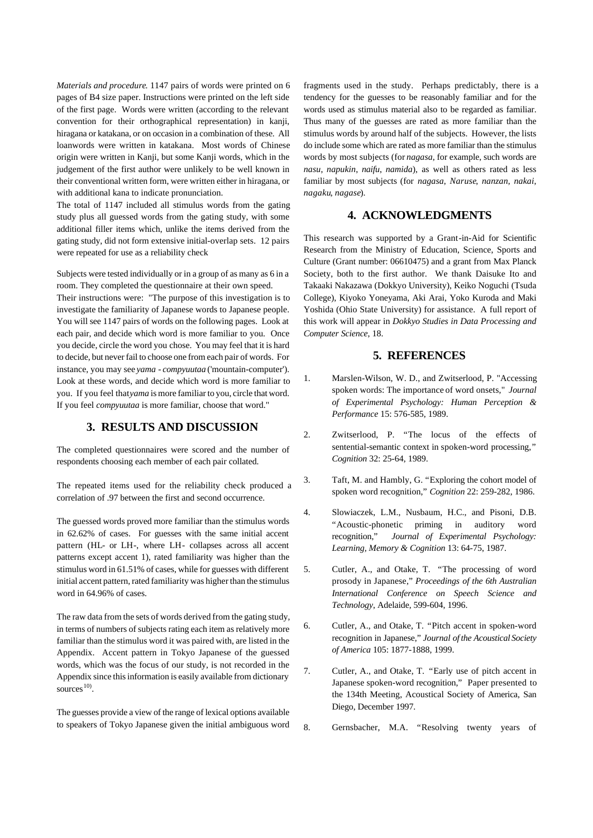*Materials and procedure*. 1147 pairs of words were printed on 6 pages of B4 size paper. Instructions were printed on the left side of the first page. Words were written (according to the relevant convention for their orthographical representation) in kanji, hiragana or katakana, or on occasion in a combination of these. All loanwords were written in katakana. Most words of Chinese origin were written in Kanji, but some Kanji words, which in the judgement of the first author were unlikely to be well known in their conventional written form, were written either in hiragana, or with additional kana to indicate pronunciation.

The total of 1147 included all stimulus words from the gating study plus all guessed words from the gating study, with some additional filler items which, unlike the items derived from the gating study, did not form extensive initial-overlap sets. 12 pairs were repeated for use as a reliability check

Subjects were tested individually or in a group of as many as 6 in a room. They completed the questionnaire at their own speed.

Their instructions were: "The purpose of this investigation is to investigate the familiarity of Japanese words to Japanese people. You will see 1147 pairs of words on the following pages. Look at each pair, and decide which word is more familiar to you. Once you decide, circle the word you chose. You may feel that it is hard to decide, but never fail to choose one from each pair of words. For instance, you may see *yama* - *compyuutaa* ('mountain-computer'). Look at these words, and decide which word is more familiar to you. If you feel that *yama* is more familiar to you, circle that word. If you feel *compyuutaa* is more familiar, choose that word."

#### **3. RESULTS AND DISCUSSION**

The completed questionnaires were scored and the number of respondents choosing each member of each pair collated.

The repeated items used for the reliability check produced a correlation of .97 between the first and second occurrence.

The guessed words proved more familiar than the stimulus words in 62.62% of cases. For guesses with the same initial accent pattern (HL- or LH-, where LH- collapses across all accent patterns except accent 1), rated familiarity was higher than the stimulus word in 61.51% of cases, while for guesses with different initial accent pattern, rated familiarity was higher than the stimulus word in 64.96% of cases.

The raw data from the sets of words derived from the gating study, in terms of numbers of subjects rating each item as relatively more familiar than the stimulus word it was paired with, are listed in the Appendix. Accent pattern in Tokyo Japanese of the guessed words, which was the focus of our study, is not recorded in the Appendix since this information is easily available from dictionary sources $^{10)}$ .

The guesses provide a view of the range of lexical options available to speakers of Tokyo Japanese given the initial ambiguous word

fragments used in the study. Perhaps predictably, there is a tendency for the guesses to be reasonably familiar and for the words used as stimulus material also to be regarded as familiar. Thus many of the guesses are rated as more familiar than the stimulus words by around half of the subjects. However, the lists do include some which are rated as more familiar than the stimulus words by most subjects (for *nagasa*, for example, such words are *nasu*, *napukin*, *naifu*, *namida*), as well as others rated as less familiar by most subjects (for *nagasa*, *Naruse*, *nanzan*, *nakai*, *nagaku*, *nagase*).

## **4. ACKNOWLEDGMENTS**

This research was supported by a Grant-in-Aid for Scientific Research from the Ministry of Education, Science, Sports and Culture (Grant number: 06610475) and a grant from Max Planck Society, both to the first author. We thank Daisuke Ito and Takaaki Nakazawa (Dokkyo University), Keiko Noguchi (Tsuda College), Kiyoko Yoneyama, Aki Arai, Yoko Kuroda and Maki Yoshida (Ohio State University) for assistance. A full report of this work will appear in *Dokkyo Studies in Data Processing and Computer Science*, 18.

## **5. REFERENCES**

- 1. Marslen-Wilson, W. D., and Zwitserlood, P. "Accessing spoken words: The importance of word onsets," *Journal of Experimental Psychology: Human Perception & Performance* 15: 576-585, 1989.
- 2. Zwitserlood, P. "The locus of the effects of sentential-semantic context in spoken-word processing," *Cognition* 32: 25-64, 1989.
- 3. Taft, M. and Hambly, G. "Exploring the cohort model of spoken word recognition," *Cognition* 22: 259-282, 1986.
- 4. Slowiaczek, L.M., Nusbaum, H.C., and Pisoni, D.B. "Acoustic-phonetic priming in auditory word recognition," *Journal of Experimental Psychology: Learning, Memory & Cognition* 13: 64-75, 1987.
- 5. Cutler, A., and Otake, T. "The processing of word prosody in Japanese," *Proceedings of the 6th Australian International Conference on Speech Science and Technology*, Adelaide, 599-604, 1996.
- 6. Cutler, A., and Otake, T. "Pitch accent in spoken-word recognition in Japanese," *Journal of the Acoustical Society of America* 105: 1877-1888, 1999.
- 7. Cutler, A., and Otake, T. "Early use of pitch accent in Japanese spoken-word recognition," Paper presented to the 134th Meeting, Acoustical Society of America, San Diego, December 1997.
- 8. Gernsbacher, M.A. "Resolving twenty years of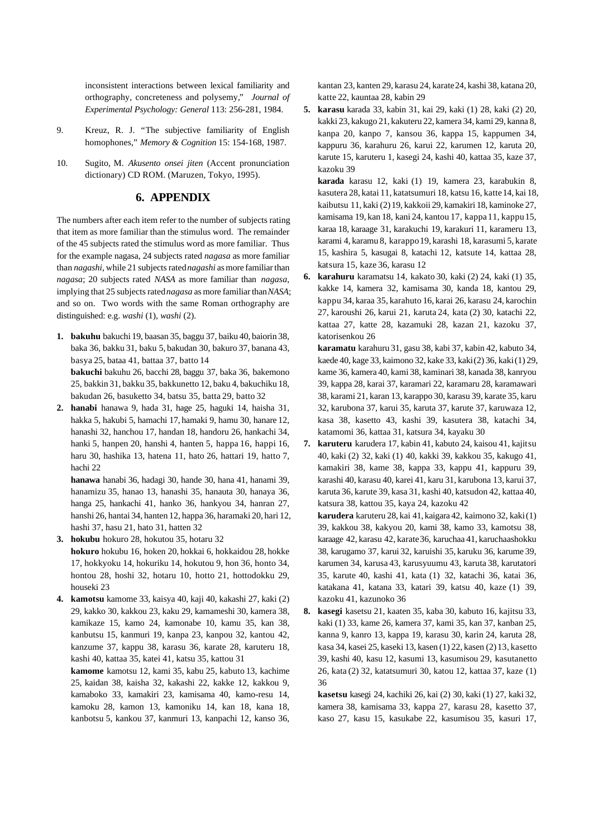inconsistent interactions between lexical familiarity and orthography, concreteness and polysemy," *Journal of Experimental Psychology: General* 113: 256-281, 1984.

- 9. Kreuz, R. J. "The subjective familiarity of English homophones," *Memory & Cognition* 15: 154-168, 1987.
- 10. Sugito, M. *Akusento onsei jiten* (Accent pronunciation dictionary) CD ROM. (Maruzen, Tokyo, 1995).

#### **6. APPENDIX**

The numbers after each item refer to the number of subjects rating that item as more familiar than the stimulus word. The remainder of the 45 subjects rated the stimulus word as more familiar. Thus for the example nagasa, 24 subjects rated *nagasa* as more familiar than *nagashi*, while 21 subjects rated *nagashi* as more familiar than *nagasa*; 20 subjects rated *NASA* as more familiar than *nagasa*, implying that 25 subjects rated *nagasa* as more familiar than *NASA*; and so on. Two words with the same Roman orthography are distinguished: e.g. *washi* (1), *washi* (2).

- **1. bakuhu** bakuchi 19, baasan 35, baggu 37, baiku 40, baiorin 38, baka 36, bakku 31, baku 5, bakudan 30, bakuro 37, banana 43, basya 25, bataa 41, battaa 37, batto 14 **bakuchi** bakuhu 26, bacchi 28, baggu 37, baka 36, bakemono 25, bakkin 31, bakku 35, bakkunetto 12, baku 4, bakuchiku 18, bakudan 26, basuketto 34, batsu 35, batta 29, batto 32
- **2. hanabi** hanawa 9, hada 31, hage 25, haguki 14, haisha 31, hakka 5, hakubi 5, hamachi 17, hamaki 9, hamu 30, hanare 12, hanashi 32, hanchou 17, handan 18, handoru 26, hankachi 34, hanki 5, hanpen 20, hanshi 4, hanten 5, happa 16, happi 16, haru 30, hashika 13, hatena 11, hato 26, hattari 19, hatto 7, hachi 22

**hanawa** hanabi 36, hadagi 30, hande 30, hana 41, hanami 39, hanamizu 35, hanao 13, hanashi 35, hanauta 30, hanaya 36, hanga 25, hankachi 41, hanko 36, hankyou 34, hanran 27, hanshi 26, hantai 34, hanten 12, happa 36, haramaki 20, hari 12, hashi 37, hasu 21, hato 31, hatten 32

- **3. hokubu** hokuro 28, hokutou 35, hotaru 32 **hokuro** hokubu 16, hoken 20, hokkai 6, hokkaidou 28, hokke 17, hokkyoku 14, hokuriku 14, hokutou 9, hon 36, honto 34, hontou 28, hoshi 32, hotaru 10, hotto 21, hottodokku 29, houseki 23
- **4. kamotsu** kamome 33, kaisya 40, kaji 40, kakashi 27, kaki (2) 29, kakko 30, kakkou 23, kaku 29, kamameshi 30, kamera 38, kamikaze 15, kamo 24, kamonabe 10, kamu 35, kan 38, kanbutsu 15, kanmuri 19, kanpa 23, kanpou 32, kantou 42, kanzume 37, kappu 38, karasu 36, karate 28, karuteru 18, kashi 40, kattaa 35, katei 41, katsu 35, kattou 31

**kamome** kamotsu 12, kami 35, kabu 25, kabuto 13, kachime 25, kaidan 38, kaisha 32, kakashi 22, kakke 12, kakkou 9, kamaboko 33, kamakiri 23, kamisama 40, kamo-resu 14, kamoku 28, kamon 13, kamoniku 14, kan 18, kana 18, kanbotsu 5, kankou 37, kanmuri 13, kanpachi 12, kanso 36,

kantan 23, kanten 29, karasu 24, karate24, kashi 38, katana 20, katte 22, kauntaa 28, kabin 29

**5. karasu** karada 33, kabin 31, kai 29, kaki (1) 28, kaki (2) 20, kakki 23, kakugo 21, kakuteru 22, kamera 34, kami 29, kanna 8, kanpa 20, kanpo 7, kansou 36, kappa 15, kappumen 34, kappuru 36, karahuru 26, karui 22, karumen 12, karuta 20, karute 15, karuteru 1, kasegi 24, kashi 40, kattaa 35, kaze 37, kazoku 39

**karada** karasu 12, kaki (1) 19, kamera 23, karabukin 8, kasutera 28, katai 11, katatsumuri 18, katsu 16, katte 14, kai 18, kaibutsu 11, kaki (2) 19, kakkoii 29, kamakiri 18, kaminoke 27, kamisama 19, kan 18, kani 24, kantou 17, kappa11, kappu15, karaa 18, karaage 31, karakuchi 19, karakuri 11, karameru 13, karami 4, karamu 8, karappo19, karashi 18, karasumi 5, karate 15, kashira 5, kasugai 8, katachi 12, katsute 14, kattaa 28, katsura 15, kaze 36, karasu 12

**6. karahuru** karamatsu 14, kakato 30, kaki (2) 24, kaki (1) 35, kakke 14, kamera 32, kamisama 30, kanda 18, kantou 29, kappu 34, karaa 35, karahuto 16, karai 26, karasu 24, karochin 27, karoushi 26, karui 21, karuta 24, kata (2) 30, katachi 22, kattaa 27, katte 28, kazamuki 28, kazan 21, kazoku 37, katorisenkou 26

**karamatu** karahuru 31, gasu 38, kabi 37, kabin 42, kabuto 34, kaede 40, kage 33, kaimono 32, kake 33, kaki (2) 36, kaki (1) 29, kame 36, kamera 40, kami 38, kaminari 38, kanada 38, kanryou 39, kappa 28, karai 37, karamari 22, karamaru 28, karamawari 38, karami 21, karan 13, karappo 30, karasu 39, karate 35, karu 32, karubona 37, karui 35, karuta 37, karute 37, karuwaza 12, kasa 38, kasetto 43, kashi 39, kasutera 38, katachi 34, katamomi 36, kattaa 31, katsura 34, kayaku 30

**7. karuteru** karudera 17, kabin 41, kabuto 24, kaisou 41, kajitsu 40, kaki (2) 32, kaki (1) 40, kakki 39, kakkou 35, kakugo 41, kamakiri 38, kame 38, kappa 33, kappu 41, kappuru 39, karashi 40, karasu 40, karei 41, karu 31, karubona 13, karui 37, karuta 36, karute 39, kasa 31, kashi 40, katsudon 42, kattaa 40, katsura 38, kattou 35, kaya 24, kazoku 42

**karudera** karuteru 28, kai 41, kaigara 42, kaimono 32, kaki (1) 39, kakkou 38, kakyou 20, kami 38, kamo 33, kamotsu 38, karaage 42, karasu 42, karate36, karuchaa 41, karuchaashokku 38, karugamo 37, karui 32, karuishi 35, karuku 36, karume 39, karumen 34, karusa 43, karusyuumu 43, karuta 38, karutatori 35, karute 40, kashi 41, kata (1) 32, katachi 36, katai 36, katakana 41, katana 33, katari 39, katsu 40, kaze (1) 39, kazoku 41, kazunoko 36

**8. kasegi** kasetsu 21, kaaten 35, kaba 30, kabuto 16, kajitsu 33, kaki (1) 33, kame 26, kamera 37, kami 35, kan 37, kanban 25, kanna 9, kanro 13, kappa 19, karasu 30, karin 24, karuta 28, kasa 34, kasei 25, kaseki 13, kasen (1) 22, kasen (2) 13, kasetto 39, kashi 40, kasu 12, kasumi 13, kasumisou 29, kasutanetto 26, kata (2) 32, katatsumuri 30, katou 12, kattaa 37, kaze (1) 36

**kasetsu** kasegi 24, kachiki 26, kai (2) 30, kaki (1) 27, kaki 32, kamera 38, kamisama 33, kappa 27, karasu 28, kasetto 37, kaso 27, kasu 15, kasukabe 22, kasumisou 35, kasuri 17,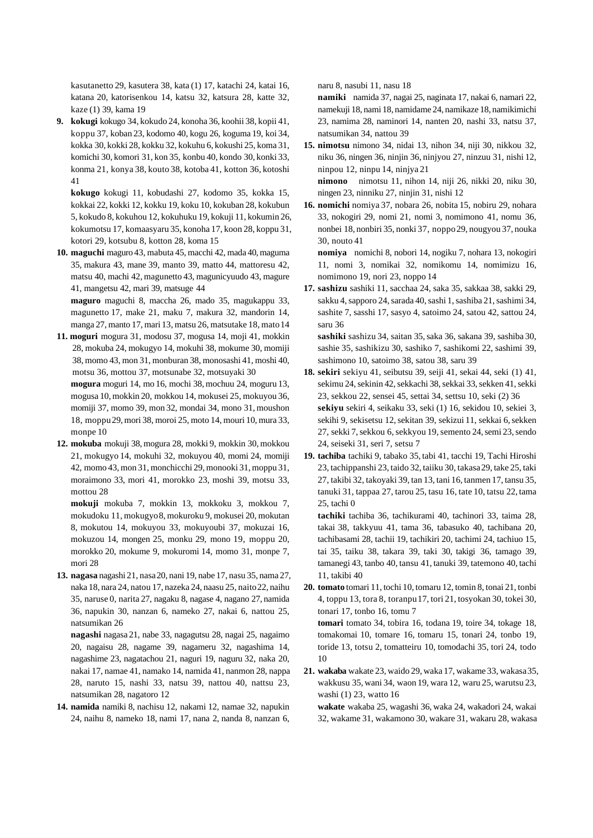kasutanetto 29, kasutera 38, kata (1) 17, katachi 24, katai 16, katana 20, katorisenkou 14, katsu 32, katsura 28, katte 32, kaze (1) 39, kama 19

**9. kokugi** kokugo 34, kokudo 24, konoha 36, koohii 38, kopii 41, koppu 37, koban 23, kodomo 40, kogu 26, koguma 19, koi 34, kokka 30, kokki 28, kokku 32, kokuhu 6, kokushi 25, koma 31, komichi 30, komori 31, kon 35, konbu 40, kondo 30, konki 33, konma 21, konya 38, kouto 38, kotoba 41, kotton 36, kotoshi 41

**kokugo** kokugi 11, kobudashi 27, kodomo 35, kokka 15, kokkai 22, kokki 12, kokku 19, koku 10, kokuban 28, kokubun 5, kokudo 8, kokuhou 12, kokuhuku 19, kokuji 11, kokumin 26, kokumotsu 17, komaasyaru 35, konoha 17, koon 28, koppu 31, kotori 29, kotsubu 8, kotton 28, koma 15

**10. maguchi** maguro 43, mabuta 45, macchi 42, mada 40, maguma 35, makura 43, mane 39, manto 39, matto 44, mattoresu 42, matsu 40, machi 42, magunetto 43, magunicyuudo 43, magure 41, mangetsu 42, mari 39, matsuge 44

**maguro** maguchi 8, maccha 26, mado 35, magukappu 33, magunetto 17, make 21, maku 7, makura 32, mandorin 14, manga 27, manto 17, mari 13, matsu 26, matsutake 18, mato14

**11. moguri** mogura 31, modosu 37, mogusa 14, moji 41, mokkin 28, mokuba 24, mokugyo 14, mokuhi 38, mokume 30, momiji 38, momo 43, mon 31, monburan 38, monosashi 41, moshi 40, motsu 36, mottou 37, motsunabe 32, motsuyaki 30

**mogura** moguri 14, mo 16, mochi 38, mochuu 24, moguru 13, mogusa 10, mokkin 20, mokkou 14, mokusei 25, mokuyou 36, momiji 37, momo 39, mon 32, mondai 34, mono 31, moushon 18, moppu29, mori 38, moroi 25, moto 14, mouri 10, mura 33, monpe 10

**12. mokuba** mokuji 38, mogura 28, mokki 9, mokkin 30, mokkou 21, mokugyo 14, mokuhi 32, mokuyou 40, momi 24, momiji 42, momo 43, mon 31, monchicchi 29, monooki 31, moppu 31, moraimono 33, mori 41, morokko 23, moshi 39, motsu 33, mottou 28

**mokuji** mokuba 7, mokkin 13, mokkoku 3, mokkou 7, mokudoku 11, mokugyo8, mokuroku 9, mokusei 20, mokutan 8, mokutou 14, mokuyou 33, mokuyoubi 37, mokuzai 16, mokuzou 14, mongen 25, monku 29, mono 19, moppu 20, morokko 20, mokume 9, mokuromi 14, momo 31, monpe 7, mori 28

**13. nagasa** nagashi 21, nasa20, nani 19, nabe 17, nasu 35, nama 27, naka 18, nara 24, natou 17, nazeka 24, naasu 25, naito22, naihu 35, naruse 0, narita 27, nagaku 8, nagase 4, nagano 27, namida 36, napukin 30, nanzan 6, nameko 27, nakai 6, nattou 25, natsumikan 26

**nagashi** nagasa 21, nabe 33, nagagutsu 28, nagai 25, nagaimo 20, nagaisu 28, nagame 39, nagameru 32, nagashima 14, nagashime 23, nagatachou 21, naguri 19, naguru 32, naka 20, nakai 17, namae 41, namako 14, namida 41, nanmon 28, nappa 28, naruto 15, nashi 33, natsu 39, nattou 40, nattsu 23, natsumikan 28, nagatoro 12

**14. namida** namiki 8, nachisu 12, nakami 12, namae 32, napukin 24, naihu 8, nameko 18, nami 17, nana 2, nanda 8, nanzan 6,

naru 8, nasubi 11, nasu 18

**namiki** namida 37, nagai 25, naginata 17, nakai 6, namari 22, namekuji 18, nami 18, namidame 24, namikaze 18, namikimichi 23, namima 28, naminori 14, nanten 20, nashi 33, natsu 37, natsumikan 34, nattou 39

- **15. nimotsu** nimono 34, nidai 13, nihon 34, niji 30, nikkou 32, niku 36, ningen 36, ninjin 36, ninjyou 27, ninzuu 31, nishi 12, ninpou 12, ninpu 14, ninjya 21 **nimono** nimotsu 11, nihon 14, niji 26, nikki 20, niku 30, ningen 23, ninniku 27, ninjin 31, nishi 12
- **16. nomichi** nomiya 37, nobara 26, nobita 15, nobiru 29, nohara 33, nokogiri 29, nomi 21, nomi 3, nomimono 41, nomu 36, nonbei 18, nonbiri 35, nonki 37, noppo29, nougyou 37, nouka 30, nouto 41

**nomiya** nomichi 8, nobori 14, nogiku 7, nohara 13, nokogiri 11, nomi 3, nomikai 32, nomikomu 14, nomimizu 16, nomimono 19, nori 23, noppo 14

**17. sashizu** sashiki 11, sacchaa 24, saka 35, sakkaa 38, sakki 29, sakku 4, sapporo 24, sarada 40, sashi 1, sashiba 21, sashimi 34, sashite 7, sasshi 17, sasyo 4, satoimo 24, satou 42, sattou 24, saru 36

**sashiki** sashizu 34, saitan 35, saka 36, sakana 39, sashiba 30, sashie 35, sashikizu 30, sashiko 7, sashikomi 22, sashimi 39, sashimono 10, satoimo 38, satou 38, saru 39

- **18. sekiri** sekiyu 41, seibutsu 39, seiji 41, sekai 44, seki (1) 41, sekimu 24, sekinin 42, sekkachi 38, sekkai 33, sekken 41, sekki 23, sekkou 22, sensei 45, settai 34, settsu 10, seki (2) 36 **sekiyu** sekiri 4, seikaku 33, seki (1) 16, sekidou 10, sekiei 3, sekihi 9, sekisetsu 12, sekitan 39, sekizui 11, sekkai 6, sekken 27, sekki 7, sekkou 6, sekkyou 19, semento 24, semi 23, sendo 24, seiseki 31, seri 7, setsu 7
- **19. tachiba** tachiki 9, tabako 35, tabi 41, tacchi 19, Tachi Hiroshi 23, tachippanshi 23, taido 32, taiiku 30, takasa29, take 25, taki 27, takibi 32, takoyaki 39, tan 13, tani 16, tanmen 17, tansu 35, tanuki 31, tappaa 27, tarou 25, tasu 16, tate 10, tatsu 22, tama 25, tachi 0

**tachiki** tachiba 36, tachikurami 40, tachinori 33, taima 28, takai 38, takkyuu 41, tama 36, tabasuko 40, tachibana 20, tachibasami 28, tachii 19, tachikiri 20, tachimi 24, tachiuo 15, tai 35, taiku 38, takara 39, taki 30, takigi 36, tamago 39, tamanegi 43, tanbo 40, tansu 41, tanuki 39, tatemono 40, tachi 11, takibi 40

- **20. tomato** tomari 11, tochi 10, tomaru 12, tomin 8, tonai 21, tonbi 4, toppu 13, tora 8, toranpu17, tori 21, tosyokan 30, tokei 30, tonari 17, tonbo 16, tomu 7 **tomari** tomato 34, tobira 16, todana 19, toire 34, tokage 18, tomakomai 10, tomare 16, tomaru 15, tonari 24, tonbo 19, toride 13, totsu 2, tomatteiru 10, tomodachi 35, tori 24, todo 10
- **21. wakaba** wakate 23, waido 29, waka 17, wakame 33, wakasa35, wakkusu 35, wani 34, waon 19, wara 12, waru 25, warutsu 23, washi (1) 23, watto 16

**wakate** wakaba 25, wagashi 36, waka 24, wakadori 24, wakai 32, wakame 31, wakamono 30, wakare 31, wakaru 28, wakasa